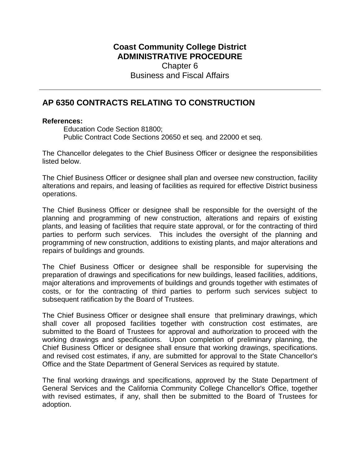## **Coast Community College District ADMINISTRATIVE PROCEDURE** Chapter 6 Business and Fiscal Affairs

## **AP 6350 CONTRACTS RELATING TO CONSTRUCTION**

## **References:**

Education Code Section 81800; Public Contract Code Sections 20650 et seq. and 22000 et seq.

The Chancellor delegates to the Chief Business Officer or designee the responsibilities listed below.

The Chief Business Officer or designee shall plan and oversee new construction, facility alterations and repairs, and leasing of facilities as required for effective District business operations.

The Chief Business Officer or designee shall be responsible for the oversight of the planning and programming of new construction, alterations and repairs of existing plants, and leasing of facilities that require state approval, or for the contracting of third parties to perform such services. This includes the oversight of the planning and programming of new construction, additions to existing plants, and major alterations and repairs of buildings and grounds.

The Chief Business Officer or designee shall be responsible for supervising the preparation of drawings and specifications for new buildings, leased facilities, additions, major alterations and improvements of buildings and grounds together with estimates of costs, or for the contracting of third parties to perform such services subject to subsequent ratification by the Board of Trustees.

The Chief Business Officer or designee shall ensure that preliminary drawings, which shall cover all proposed facilities together with construction cost estimates, are submitted to the Board of Trustees for approval and authorization to proceed with the working drawings and specifications. Upon completion of preliminary planning, the Chief Business Officer or designee shall ensure that working drawings, specifications. and revised cost estimates, if any, are submitted for approval to the State Chancellor's Office and the State Department of General Services as required by statute.

The final working drawings and specifications, approved by the State Department of General Services and the California Community College Chancellor's Office, together with revised estimates, if any, shall then be submitted to the Board of Trustees for adoption.